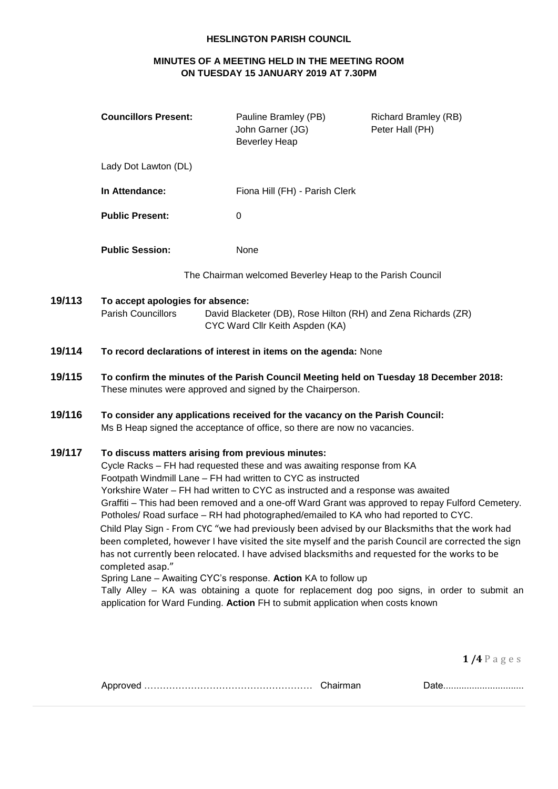# **HESLINGTON PARISH COUNCIL**

# **MINUTES OF A MEETING HELD IN THE MEETING ROOM ON TUESDAY 15 JANUARY 2019 AT 7.30PM**

|        | <b>Councillors Present:</b>                                                                                                                                                                                                                                                                                                                                                                                                                                                                                                                                                                                                                                                                                                                                                                                                                                                                                                                                                                                                                                    | Pauline Bramley (PB)<br>John Garner (JG)<br><b>Beverley Heap</b>                                                                                          | <b>Richard Bramley (RB)</b><br>Peter Hall (PH) |
|--------|----------------------------------------------------------------------------------------------------------------------------------------------------------------------------------------------------------------------------------------------------------------------------------------------------------------------------------------------------------------------------------------------------------------------------------------------------------------------------------------------------------------------------------------------------------------------------------------------------------------------------------------------------------------------------------------------------------------------------------------------------------------------------------------------------------------------------------------------------------------------------------------------------------------------------------------------------------------------------------------------------------------------------------------------------------------|-----------------------------------------------------------------------------------------------------------------------------------------------------------|------------------------------------------------|
|        | Lady Dot Lawton (DL)                                                                                                                                                                                                                                                                                                                                                                                                                                                                                                                                                                                                                                                                                                                                                                                                                                                                                                                                                                                                                                           |                                                                                                                                                           |                                                |
|        | In Attendance:                                                                                                                                                                                                                                                                                                                                                                                                                                                                                                                                                                                                                                                                                                                                                                                                                                                                                                                                                                                                                                                 | Fiona Hill (FH) - Parish Clerk                                                                                                                            |                                                |
|        | <b>Public Present:</b>                                                                                                                                                                                                                                                                                                                                                                                                                                                                                                                                                                                                                                                                                                                                                                                                                                                                                                                                                                                                                                         | 0                                                                                                                                                         |                                                |
|        | <b>Public Session:</b>                                                                                                                                                                                                                                                                                                                                                                                                                                                                                                                                                                                                                                                                                                                                                                                                                                                                                                                                                                                                                                         | None                                                                                                                                                      |                                                |
|        |                                                                                                                                                                                                                                                                                                                                                                                                                                                                                                                                                                                                                                                                                                                                                                                                                                                                                                                                                                                                                                                                | The Chairman welcomed Beverley Heap to the Parish Council                                                                                                 |                                                |
| 19/113 | To accept apologies for absence:<br>Parish Councillors                                                                                                                                                                                                                                                                                                                                                                                                                                                                                                                                                                                                                                                                                                                                                                                                                                                                                                                                                                                                         | David Blacketer (DB), Rose Hilton (RH) and Zena Richards (ZR)<br>CYC Ward Cllr Keith Aspden (KA)                                                          |                                                |
| 19/114 |                                                                                                                                                                                                                                                                                                                                                                                                                                                                                                                                                                                                                                                                                                                                                                                                                                                                                                                                                                                                                                                                | To record declarations of interest in items on the agenda: None                                                                                           |                                                |
| 19/115 | To confirm the minutes of the Parish Council Meeting held on Tuesday 18 December 2018:<br>These minutes were approved and signed by the Chairperson.                                                                                                                                                                                                                                                                                                                                                                                                                                                                                                                                                                                                                                                                                                                                                                                                                                                                                                           |                                                                                                                                                           |                                                |
| 19/116 |                                                                                                                                                                                                                                                                                                                                                                                                                                                                                                                                                                                                                                                                                                                                                                                                                                                                                                                                                                                                                                                                | To consider any applications received for the vacancy on the Parish Council:<br>Ms B Heap signed the acceptance of office, so there are now no vacancies. |                                                |
| 19/117 | To discuss matters arising from previous minutes:<br>Cycle Racks - FH had requested these and was awaiting response from KA<br>Footpath Windmill Lane - FH had written to CYC as instructed<br>Yorkshire Water - FH had written to CYC as instructed and a response was awaited<br>Graffiti - This had been removed and a one-off Ward Grant was approved to repay Fulford Cemetery.<br>Potholes/ Road surface - RH had photographed/emailed to KA who had reported to CYC.<br>Child Play Sign - From CYC "we had previously been advised by our Blacksmiths that the work had<br>been completed, however I have visited the site myself and the parish Council are corrected the sign<br>has not currently been relocated. I have advised blacksmiths and requested for the works to be<br>completed asap."<br>Spring Lane - Awaiting CYC's response. Action KA to follow up<br>Tally Alley – KA was obtaining a quote for replacement dog poo signs, in order to submit an<br>application for Ward Funding. Action FH to submit application when costs known |                                                                                                                                                           |                                                |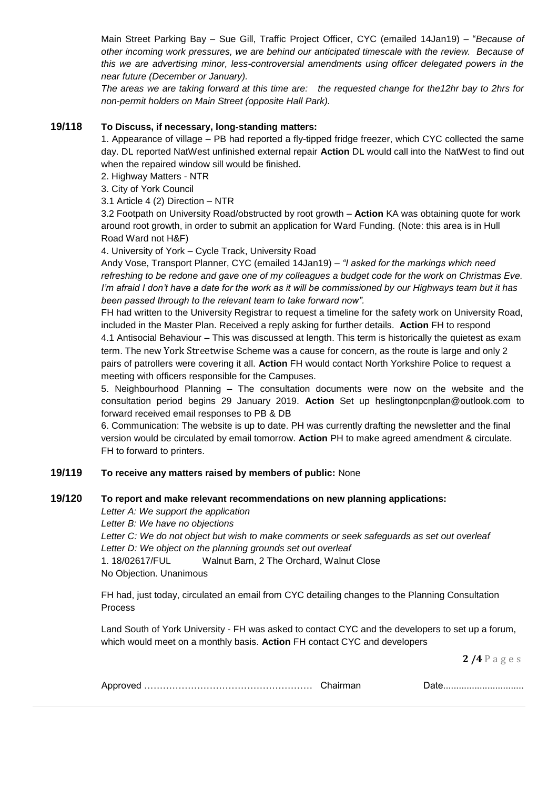Main Street Parking Bay – Sue Gill, Traffic Project Officer, CYC (emailed 14Jan19) – "*Because of other incoming work pressures, we are behind our anticipated timescale with the review. Because of this we are advertising minor, less-controversial amendments using officer delegated powers in the near future (December or January).*

*The areas we are taking forward at this time are: the requested change for the12hr bay to 2hrs for non-permit holders on Main Street (opposite Hall Park).*

### **19/118 To Discuss, if necessary, long-standing matters:**

1. Appearance of village – PB had reported a fly-tipped fridge freezer, which CYC collected the same day. DL reported NatWest unfinished external repair **Action** DL would call into the NatWest to find out when the repaired window sill would be finished.

2. Highway Matters - NTR

3. City of York Council

3.1 Article 4 (2) Direction – NTR

3.2 Footpath on University Road/obstructed by root growth – **Action** KA was obtaining quote for work around root growth, in order to submit an application for Ward Funding. (Note: this area is in Hull Road Ward not H&F)

4. University of York – Cycle Track, University Road

Andy Vose, Transport Planner, CYC (emailed 14Jan19) – *"I asked for the markings which need refreshing to be redone and gave one of my colleagues a budget code for the work on Christmas Eve. I'm afraid I don't have a date for the work as it will be commissioned by our Highways team but it has been passed through to the relevant team to take forward now".*

FH had written to the University Registrar to request a timeline for the safety work on University Road, included in the Master Plan. Received a reply asking for further details. **Action** FH to respond

4.1 Antisocial Behaviour – This was discussed at length. This term is historically the quietest as exam term. The new York Streetwise Scheme was a cause for concern, as the route is large and only 2 pairs of patrollers were covering it all. **Action** FH would contact North Yorkshire Police to request a meeting with officers responsible for the Campuses.

5. Neighbourhood Planning – The consultation documents were now on the website and the consultation period begins 29 January 2019. **Action** Set up heslingtonpcnplan@outlook.com to forward received email responses to PB & DB

6. Communication: The website is up to date. PH was currently drafting the newsletter and the final version would be circulated by email tomorrow. **Action** PH to make agreed amendment & circulate. FH to forward to printers.

### **19/119 To receive any matters raised by members of public:** None

### **19/120 To report and make relevant recommendations on new planning applications:**

*Letter A: We support the application*

*Letter B: We have no objections*

*Letter C: We do not object but wish to make comments or seek safeguards as set out overleaf Letter D: We object on the planning grounds set out overleaf* 1. 18/02617/FUL Walnut Barn, 2 The Orchard, Walnut Close No Objection. Unanimous

FH had, just today, circulated an email from CYC detailing changes to the Planning Consultation Process

Land South of York University - FH was asked to contact CYC and the developers to set up a forum, which would meet on a monthly basis. **Action** FH contact CYC and developers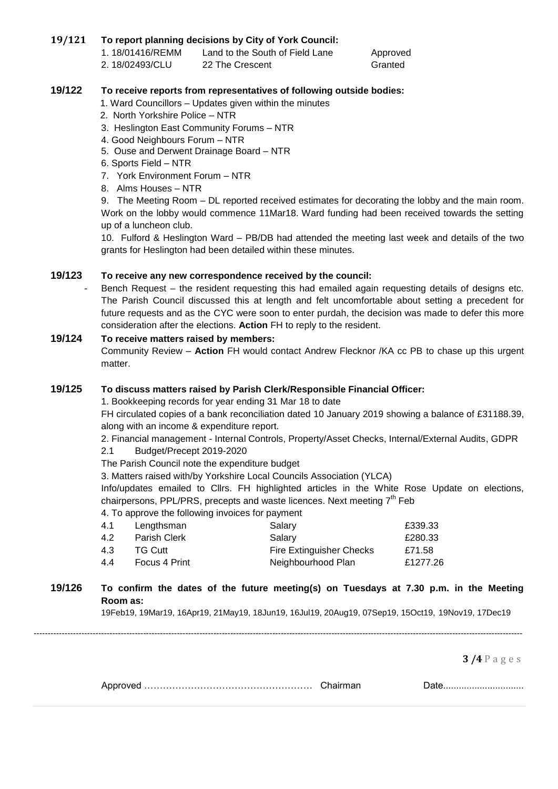# **19/121 To report planning decisions by City of York Council:**

1. 18/01416/REMM Land to the South of Field Lane Approved 2. 18/02493/CLU 22 The Crescent Granted

### **19/122 To receive reports from representatives of following outside bodies:**

- 1. Ward Councillors Updates given within the minutes
- 2. North Yorkshire Police NTR
- 3. Heslington East Community Forums NTR
- 4. Good Neighbours Forum NTR
- 5. Ouse and Derwent Drainage Board NTR
- 6. Sports Field NTR
- 7. York Environment Forum NTR
- 8. Alms Houses NTR

9. The Meeting Room – DL reported received estimates for decorating the lobby and the main room. Work on the lobby would commence 11Mar18. Ward funding had been received towards the setting up of a luncheon club.

10. Fulford & Heslington Ward – PB/DB had attended the meeting last week and details of the two grants for Heslington had been detailed within these minutes.

#### **19/123 To receive any new correspondence received by the council:**

Bench Request – the resident requesting this had emailed again requesting details of designs etc. The Parish Council discussed this at length and felt uncomfortable about setting a precedent for future requests and as the CYC were soon to enter purdah, the decision was made to defer this more consideration after the elections. **Action** FH to reply to the resident.

#### **19/124 To receive matters raised by members:**

Community Review – **Action** FH would contact Andrew Flecknor /KA cc PB to chase up this urgent matter.

#### **19/125 To discuss matters raised by Parish Clerk/Responsible Financial Officer:**

1. Bookkeeping records for year ending 31 Mar 18 to date

FH circulated copies of a bank reconciliation dated 10 January 2019 showing a balance of £31188.39, along with an income & expenditure report.

2. Financial management - Internal Controls, Property/Asset Checks, Internal/External Audits, GDPR

- 2.1 Budget/Precept 2019-2020
- The Parish Council note the expenditure budget

3. Matters raised with/by Yorkshire Local Councils Association (YLCA)

Info/updates emailed to Cllrs. FH highlighted articles in the White Rose Update on elections, chairpersons, PPL/PRS, precepts and waste licences. Next meeting 7<sup>th</sup> Feb

4. To approve the following invoices for payment

|                | Salary                          | £339.33  |
|----------------|---------------------------------|----------|
| Parish Clerk   | Salarv                          | £280.33  |
| <b>TG Cutt</b> | <b>Fire Extinguisher Checks</b> | £71.58   |
| Focus 4 Print  | Neighbourhood Plan              | £1277.26 |
|                | Lengthsman                      |          |

### **19/126 To confirm the dates of the future meeting(s) on Tuesdays at 7.30 p.m. in the Meeting Room as:**

19Feb19, 19Mar19, 16Apr19, 21May19, 18Jun19, 16Jul19, 20Aug19, 07Sep19, 15Oct19, 19Nov19, 17Dec19

------------------------------------------------------------------------------------------------------------------------------------------------------------------------------

|  |  | <u>Balv</u> |
|--|--|-------------|
|--|--|-------------|